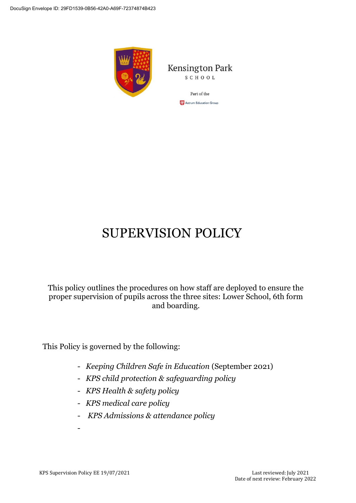

Kensington Park SCHOOL

> Part of the **CP** Astrum Education Group

# SUPERVISION POLICY

This policy outlines the procedures on how staff are deployed to ensure the proper supervision of pupils across the three sites: Lower School, 6th form and boarding.

This Policy is governed by the following:

- *Keeping Children Safe in Education* (September 2021)
- *KPS child protection & safeguarding policy*
- *KPS Health & safety policy*
- *KPS medical care policy*
- *KPS Admissions & attendance policy*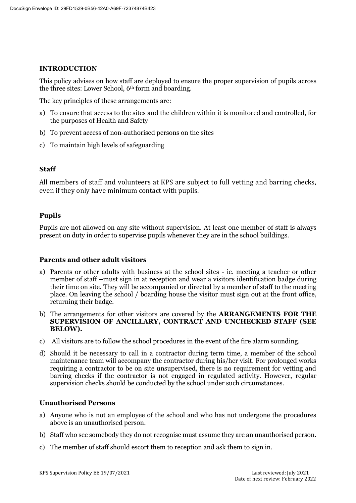## **INTRODUCTION**

This policy advises on how staff are deployed to ensure the proper supervision of pupils across the three sites: Lower School, 6th form and boarding.

The key principles of these arrangements are:

- a) To ensure that access to the sites and the children within it is monitored and controlled, for the purposes of Health and Safety
- b) To prevent access of non-authorised persons on the sites
- c) To maintain high levels of safeguarding

# **Staff**

All members of staff and volunteers at KPS are subject to full vetting and barring checks, even if they only have minimum contact with pupils.

# **Pupils**

Pupils are not allowed on any site without supervision. At least one member of staff is always present on duty in order to supervise pupils whenever they are in the school buildings.

### **Parents and other adult visitors**

- a) Parents or other adults with business at the school sites ie. meeting a teacher or other member of staff –must sign in at reception and wear a visitors identification badge during their time on site. They will be accompanied or directed by a member of staff to the meeting place. On leaving the school / boarding house the visitor must sign out at the front office, returning their badge.
- b) The arrangements for other visitors are covered by the **ARRANGEMENTS FOR THE SUPERVISION OF ANCILLARY, CONTRACT AND UNCHECKED STAFF (SEE BELOW).**
- c) All visitors are to follow the school procedures in the event of the fire alarm sounding.
- d) Should it be necessary to call in a contractor during term time, a member of the school maintenance team will accompany the contractor during his/her visit. For prolonged works requiring a contractor to be on site unsupervised, there is no requirement for vetting and barring checks if the contractor is not engaged in regulated activity. However, regular supervision checks should be conducted by the school under such circumstances.

### **Unauthorised Persons**

- a) Anyone who is not an employee of the school and who has not undergone the procedures above is an unauthorised person.
- b) Staff who see somebody they do not recognise must assume they are an unauthorised person.
- c) The member of staff should escort them to reception and ask them to sign in.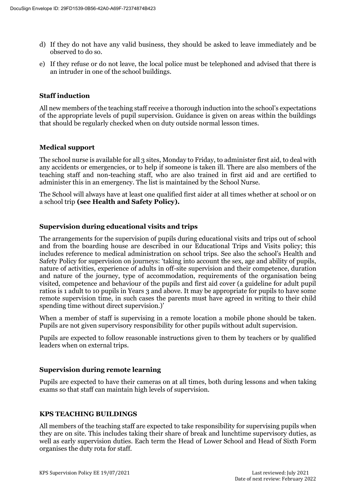- d) If they do not have any valid business, they should be asked to leave immediately and be observed to do so.
- e) If they refuse or do not leave, the local police must be telephoned and advised that there is an intruder in one of the school buildings.

## **Staff induction**

All new members of the teaching staff receive a thorough induction into the school's expectations of the appropriate levels of pupil supervision. Guidance is given on areas within the buildings that should be regularly checked when on duty outside normal lesson times.

# **Medical support**

The school nurse is available for all 3 sites, Monday to Friday, to administer first aid, to deal with any accidents or emergencies, or to help if someone is taken ill. There are also members of the teaching staff and non-teaching staff, who are also trained in first aid and are certified to administer this in an emergency. The list is maintained by the School Nurse.

The School will always have at least one qualified first aider at all times whether at school or on a school trip **(see Health and Safety Policy).**

## **Supervision during educational visits and trips**

The arrangements for the supervision of pupils during educational visits and trips out of school and from the boarding house are described in our Educational Trips and Visits policy; this includes reference to medical administration on school trips. See also the school's Health and Safety Policy for supervision on journeys: 'taking into account the sex, age and ability of pupils, nature of activities, experience of adults in off-site supervision and their competence, duration and nature of the journey, type of accommodation, requirements of the organisation being visited, competence and behaviour of the pupils and first aid cover (a guideline for adult pupil ratios is 1 adult to 10 pupils in Years 3 and above. It may be appropriate for pupils to have some remote supervision time, in such cases the parents must have agreed in writing to their child spending time without direct supervision.)'

When a member of staff is supervising in a remote location a mobile phone should be taken. Pupils are not given supervisory responsibility for other pupils without adult supervision.

Pupils are expected to follow reasonable instructions given to them by teachers or by qualified leaders when on external trips.

### **Supervision during remote learning**

Pupils are expected to have their cameras on at all times, both during lessons and when taking exams so that staff can maintain high levels of supervision.

### **KPS TEACHING BUILDINGS**

All members of the teaching staff are expected to take responsibility for supervising pupils when they are on site. This includes taking their share of break and lunchtime supervisory duties, as well as early supervision duties. Each term the Head of Lower School and Head of Sixth Form organises the duty rota for staff.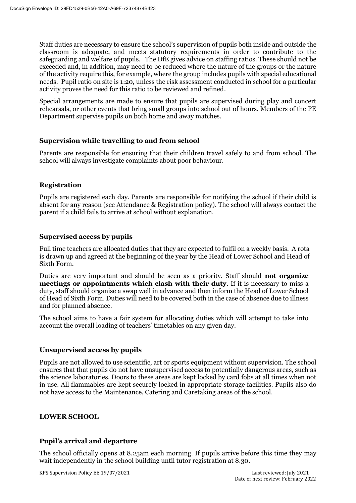Staff duties are necessary to ensure the school's supervision of pupils both inside and outside the classroom is adequate, and meets statutory requirements in order to contribute to the safeguarding and welfare of pupils. The DfE gives advice on staffing ratios. These should not be exceeded and, in addition, may need to be reduced where the nature of the groups or the nature of the activity require this, for example, where the group includes pupils with special educational needs. Pupil ratio on site is 1:20, unless the risk assessment conducted in school for a particular activity proves the need for this ratio to be reviewed and refined.

Special arrangements are made to ensure that pupils are supervised during play and concert rehearsals, or other events that bring small groups into school out of hours. Members of the PE Department supervise pupils on both home and away matches.

## **Supervision while travelling to and from school**

Parents are responsible for ensuring that their children travel safely to and from school. The school will always investigate complaints about poor behaviour.

# **Registration**

Pupils are registered each day. Parents are responsible for notifying the school if their child is absent for any reason (see Attendance & Registration policy). The school will always contact the parent if a child fails to arrive at school without explanation.

## **Supervised access by pupils**

Full time teachers are allocated duties that they are expected to fulfil on a weekly basis. A rota is drawn up and agreed at the beginning of the year by the Head of Lower School and Head of Sixth Form.

Duties are very important and should be seen as a priority. Staff should **not organize meetings or appointments which clash with their duty**. If it is necessary to miss a duty, staff should organise a swap well in advance and then inform the Head of Lower School of Head of Sixth Form. Duties will need to be covered both in the case of absence due to illness and for planned absence.

The school aims to have a fair system for allocating duties which will attempt to take into account the overall loading of teachers' timetables on any given day.

### **Unsupervised access by pupils**

Pupils are not allowed to use scientific, art or sports equipment without supervision. The school ensures that that pupils do not have unsupervised access to potentially dangerous areas, such as the science laboratories. Doors to these areas are kept locked by card fobs at all times when not in use. All flammables are kept securely locked in appropriate storage facilities. Pupils also do not have access to the Maintenance, Catering and Caretaking areas of the school.

# **LOWER SCHOOL**

# **Pupil's arrival and departure**

The school officially opens at 8.25am each morning. If pupils arrive before this time they may wait independently in the school building until tutor registration at 8.30.